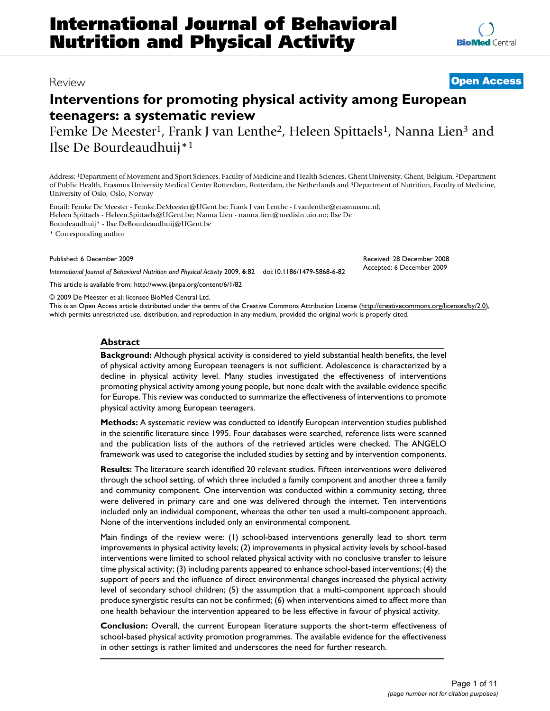# **Interventions for promoting physical activity among European teenagers: a systematic review**

Femke De Meester<sup>1</sup>, Frank J van Lenthe<sup>2</sup>, Heleen Spittaels<sup>1</sup>, Nanna Lien<sup>3</sup> and Ilse De Bourdeaudhuij\*1

Address: 1Department of Movement and Sport Sciences, Faculty of Medicine and Health Sciences, Ghent University, Ghent, Belgium, 2Department of Public Health, Erasmus University Medical Center Rotterdam, Rotterdam, the Netherlands and 3Department of Nutrition, Faculty of Medicine, University of Oslo, Oslo, Norway

Email: Femke De Meester - Femke.DeMeester@UGent.be; Frank J van Lenthe - f.vanlenthe@erasmusmc.nl; Heleen Spittaels - Heleen.Spittaels@UGent.be; Nanna Lien - nanna.lien@medisin.uio.no; Ilse De Bourdeaudhuij\* - Ilse.DeBourdeaudhuij@UGent.be

\* Corresponding author

#### Published: 6 December 2009

*International Journal of Behavioral Nutrition and Physical Activity* 2009, **6**:82 doi:10.1186/1479-5868-6-82

[This article is available from: http://www.ijbnpa.org/content/6/1/82](http://www.ijbnpa.org/content/6/1/82)

© 2009 De Meester et al; licensee BioMed Central Ltd.

This is an Open Access article distributed under the terms of the Creative Commons Attribution License [\(http://creativecommons.org/licenses/by/2.0\)](http://creativecommons.org/licenses/by/2.0), which permits unrestricted use, distribution, and reproduction in any medium, provided the original work is properly cited.

# **Abstract**

**Background:** Although physical activity is considered to yield substantial health benefits, the level of physical activity among European teenagers is not sufficient. Adolescence is characterized by a decline in physical activity level. Many studies investigated the effectiveness of interventions promoting physical activity among young people, but none dealt with the available evidence specific for Europe. This review was conducted to summarize the effectiveness of interventions to promote physical activity among European teenagers.

**Methods:** A systematic review was conducted to identify European intervention studies published in the scientific literature since 1995. Four databases were searched, reference lists were scanned and the publication lists of the authors of the retrieved articles were checked. The ANGELO framework was used to categorise the included studies by setting and by intervention components.

**Results:** The literature search identified 20 relevant studies. Fifteen interventions were delivered through the school setting, of which three included a family component and another three a family and community component. One intervention was conducted within a community setting, three were delivered in primary care and one was delivered through the internet. Ten interventions included only an individual component, whereas the other ten used a multi-component approach. None of the interventions included only an environmental component.

Main findings of the review were: (1) school-based interventions generally lead to short term improvements in physical activity levels; (2) improvements in physical activity levels by school-based interventions were limited to school related physical activity with no conclusive transfer to leisure time physical activity; (3) including parents appeared to enhance school-based interventions; (4) the support of peers and the influence of direct environmental changes increased the physical activity level of secondary school children; (5) the assumption that a multi-component approach should produce synergistic results can not be confirmed; (6) when interventions aimed to affect more than one health behaviour the intervention appeared to be less effective in favour of physical activity.

**Conclusion:** Overall, the current European literature supports the short-term effectiveness of school-based physical activity promotion programmes. The available evidence for the effectiveness in other settings is rather limited and underscores the need for further research.

# Review **[Open Access](http://www.biomedcentral.com/info/about/charter/)**

Received: 28 December 2008 Accepted: 6 December 2009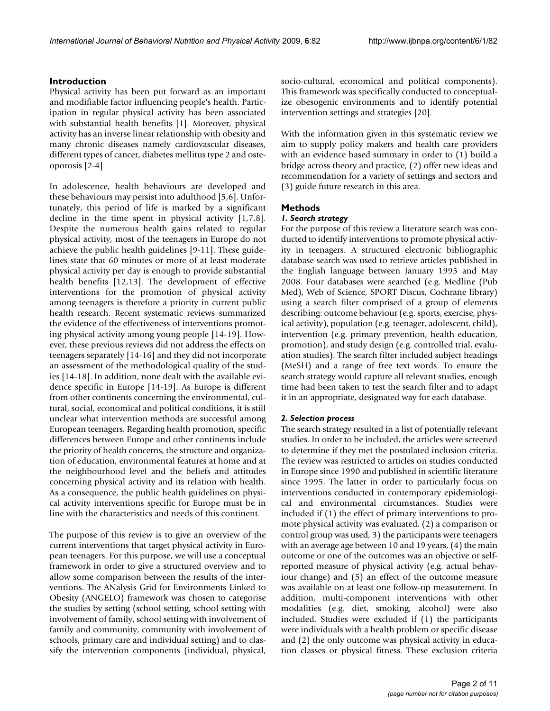# **Introduction**

Physical activity has been put forward as an important and modifiable factor influencing people's health. Participation in regular physical activity has been associated with substantial health benefits [1]. Moreover, physical activity has an inverse linear relationship with obesity and many chronic diseases namely cardiovascular diseases, different types of cancer, diabetes mellitus type 2 and osteoporosis [2-4].

In adolescence, health behaviours are developed and these behaviours may persist into adulthood [5,6]. Unfortunately, this period of life is marked by a significant decline in the time spent in physical activity [1,7,8]. Despite the numerous health gains related to regular physical activity, most of the teenagers in Europe do not achieve the public health guidelines [9-11]. These guidelines state that 60 minutes or more of at least moderate physical activity per day is enough to provide substantial health benefits [12,13]. The development of effective interventions for the promotion of physical activity among teenagers is therefore a priority in current public health research. Recent systematic reviews summarized the evidence of the effectiveness of interventions promoting physical activity among young people [14-19]. However, these previous reviews did not address the effects on teenagers separately [14-16] and they did not incorporate an assessment of the methodological quality of the studies [14-18]. In addition, none dealt with the available evidence specific in Europe [14-19]. As Europe is different from other continents concerning the environmental, cultural, social, economical and political conditions, it is still unclear what intervention methods are successful among European teenagers. Regarding health promotion, specific differences between Europe and other continents include the priority of health concerns, the structure and organization of education, environmental features at home and at the neighbourhood level and the beliefs and attitudes concerning physical activity and its relation with health. As a consequence, the public health guidelines on physical activity interventions specific for Europe must be in line with the characteristics and needs of this continent.

The purpose of this review is to give an overview of the current interventions that target physical activity in European teenagers. For this purpose, we will use a conceptual framework in order to give a structured overview and to allow some comparison between the results of the interventions. The ANalysis Grid for Environments Linked to Obesity (ANGELO) framework was chosen to categorise the studies by setting (school setting, school setting with involvement of family, school setting with involvement of family and community, community with involvement of schools, primary care and individual setting) and to classify the intervention components (individual, physical,

socio-cultural, economical and political components). This framework was specifically conducted to conceptualize obesogenic environments and to identify potential intervention settings and strategies [20].

With the information given in this systematic review we aim to supply policy makers and health care providers with an evidence based summary in order to (1) build a bridge across theory and practice, (2) offer new ideas and recommendation for a variety of settings and sectors and (3) guide future research in this area.

# **Methods**

# *1. Search strategy*

For the purpose of this review a literature search was conducted to identify interventions to promote physical activity in teenagers. A structured electronic bibliographic database search was used to retrieve articles published in the English language between January 1995 and May 2008. Four databases were searched (e.g. Medline (Pub Med), Web of Science, SPORT Discus, Cochrane library) using a search filter comprised of a group of elements describing: outcome behaviour (e.g. sports, exercise, physical activity), population (e.g. teenager, adolescent, child), intervention (e.g. primary prevention, health education, promotion), and study design (e.g. controlled trial, evaluation studies). The search filter included subject headings (MeSH) and a range of free text words. To ensure the search strategy would capture all relevant studies, enough time had been taken to test the search filter and to adapt it in an appropriate, designated way for each database.

# *2. Selection process*

The search strategy resulted in a list of potentially relevant studies. In order to be included, the articles were screened to determine if they met the postulated inclusion criteria. The review was restricted to articles on studies conducted in Europe since 1990 and published in scientific literature since 1995. The latter in order to particularly focus on interventions conducted in contemporary epidemiological and environmental circumstances. Studies were included if (1) the effect of primary interventions to promote physical activity was evaluated, (2) a comparison or control group was used, 3) the participants were teenagers with an average age between 10 and 19 years, (4) the main outcome or one of the outcomes was an objective or selfreported measure of physical activity (e.g. actual behaviour change) and (5) an effect of the outcome measure was available on at least one follow-up measurement. In addition, multi-component interventions with other modalities (e.g. diet, smoking, alcohol) were also included. Studies were excluded if (1) the participants were individuals with a health problem or specific disease and (2) the only outcome was physical activity in education classes or physical fitness. These exclusion criteria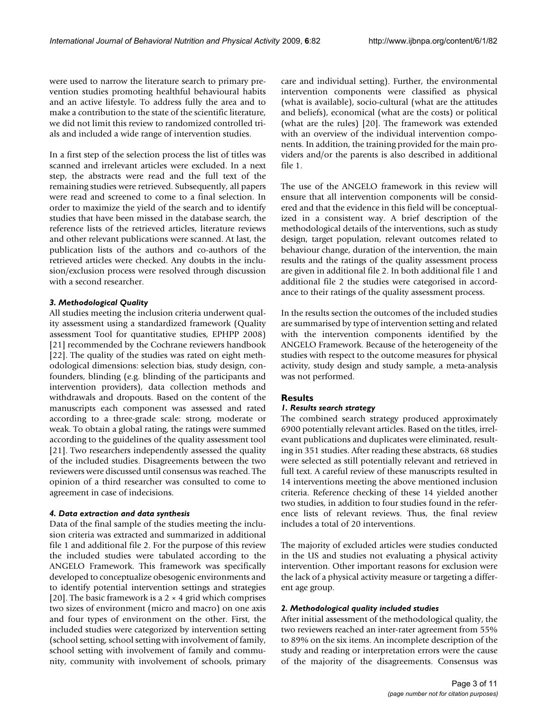were used to narrow the literature search to primary prevention studies promoting healthful behavioural habits and an active lifestyle. To address fully the area and to make a contribution to the state of the scientific literature, we did not limit this review to randomized controlled trials and included a wide range of intervention studies.

In a first step of the selection process the list of titles was scanned and irrelevant articles were excluded. In a next step, the abstracts were read and the full text of the remaining studies were retrieved. Subsequently, all papers were read and screened to come to a final selection. In order to maximize the yield of the search and to identify studies that have been missed in the database search, the reference lists of the retrieved articles, literature reviews and other relevant publications were scanned. At last, the publication lists of the authors and co-authors of the retrieved articles were checked. Any doubts in the inclusion/exclusion process were resolved through discussion with a second researcher.

# *3. Methodological Quality*

All studies meeting the inclusion criteria underwent quality assessment using a standardized framework (Quality assessment Tool for quantitative studies, EPHPP 2008) [21] recommended by the Cochrane reviewers handbook [22]. The quality of the studies was rated on eight methodological dimensions: selection bias, study design, confounders, blinding (e.g. blinding of the participants and intervention providers), data collection methods and withdrawals and dropouts. Based on the content of the manuscripts each component was assessed and rated according to a three-grade scale: strong, moderate or weak. To obtain a global rating, the ratings were summed according to the guidelines of the quality assessment tool [21]. Two researchers independently assessed the quality of the included studies. Disagreements between the two reviewers were discussed until consensus was reached. The opinion of a third researcher was consulted to come to agreement in case of indecisions.

### *4. Data extraction and data synthesis*

Data of the final sample of the studies meeting the inclusion criteria was extracted and summarized in additional file 1 and additional file 2. For the purpose of this review the included studies were tabulated according to the ANGELO Framework. This framework was specifically developed to conceptualize obesogenic environments and to identify potential intervention settings and strategies [20]. The basic framework is a  $2 \times 4$  grid which comprises two sizes of environment (micro and macro) on one axis and four types of environment on the other. First, the included studies were categorized by intervention setting (school setting, school setting with involvement of family, school setting with involvement of family and community, community with involvement of schools, primary care and individual setting). Further, the environmental intervention components were classified as physical (what is available), socio-cultural (what are the attitudes and beliefs), economical (what are the costs) or political (what are the rules) [20]. The framework was extended with an overview of the individual intervention components. In addition, the training provided for the main providers and/or the parents is also described in additional file 1.

The use of the ANGELO framework in this review will ensure that all intervention components will be considered and that the evidence in this field will be conceptualized in a consistent way. A brief description of the methodological details of the interventions, such as study design, target population, relevant outcomes related to behaviour change, duration of the intervention, the main results and the ratings of the quality assessment process are given in additional file 2. In both additional file 1 and additional file 2 the studies were categorised in accordance to their ratings of the quality assessment process.

In the results section the outcomes of the included studies are summarised by type of intervention setting and related with the intervention components identified by the ANGELO Framework. Because of the heterogeneity of the studies with respect to the outcome measures for physical activity, study design and study sample, a meta-analysis was not performed.

# **Results**

# *1. Results search strategy*

The combined search strategy produced approximately 6900 potentially relevant articles. Based on the titles, irrelevant publications and duplicates were eliminated, resulting in 351 studies. After reading these abstracts, 68 studies were selected as still potentially relevant and retrieved in full text. A careful review of these manuscripts resulted in 14 interventions meeting the above mentioned inclusion criteria. Reference checking of these 14 yielded another two studies, in addition to four studies found in the reference lists of relevant reviews. Thus, the final review includes a total of 20 interventions.

The majority of excluded articles were studies conducted in the US and studies not evaluating a physical activity intervention. Other important reasons for exclusion were the lack of a physical activity measure or targeting a different age group.

# *2. Methodological quality included studies*

After initial assessment of the methodological quality, the two reviewers reached an inter-rater agreement from 55% to 89% on the six items. An incomplete description of the study and reading or interpretation errors were the cause of the majority of the disagreements. Consensus was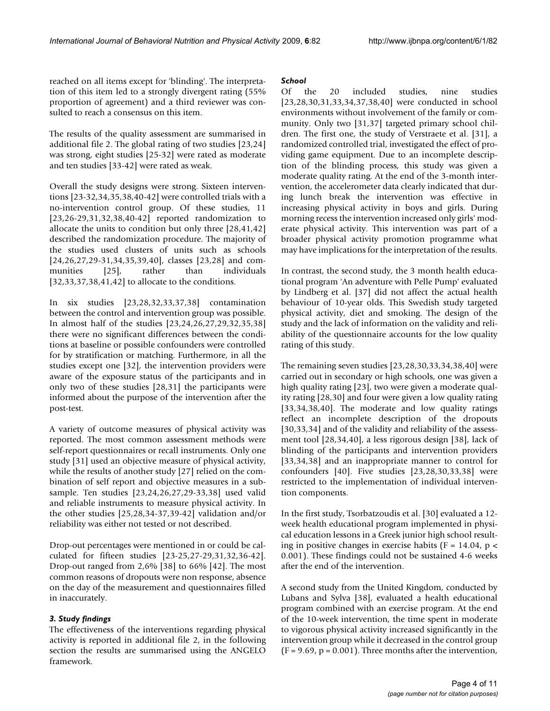reached on all items except for 'blinding'. The interpretation of this item led to a strongly divergent rating (55% proportion of agreement) and a third reviewer was consulted to reach a consensus on this item.

The results of the quality assessment are summarised in additional file 2. The global rating of two studies [23,24] was strong, eight studies [25-32] were rated as moderate and ten studies [33-42] were rated as weak.

Overall the study designs were strong. Sixteen interventions [23-32,34,35,38,40-42] were controlled trials with a no-intervention control group. Of these studies, 11 [23,26-29,31,32,38,40-42] reported randomization to allocate the units to condition but only three [28,41,42] described the randomization procedure. The majority of the studies used clusters of units such as schools [24,26,27,29-31,34,35,39,40], classes [23,28] and communities [25], rather than individuals [32,33,37,38,41,42] to allocate to the conditions.

In six studies [23,28,32,33,37,38] contamination between the control and intervention group was possible. In almost half of the studies [23,24,26,27,29,32,35,38] there were no significant differences between the conditions at baseline or possible confounders were controlled for by stratification or matching. Furthermore, in all the studies except one [32], the intervention providers were aware of the exposure status of the participants and in only two of these studies [28,31] the participants were informed about the purpose of the intervention after the post-test.

A variety of outcome measures of physical activity was reported. The most common assessment methods were self-report questionnaires or recall instruments. Only one study [31] used an objective measure of physical activity, while the results of another study [27] relied on the combination of self report and objective measures in a subsample. Ten studies [23,24,26,27,29-33,38] used valid and reliable instruments to measure physical activity. In the other studies [25,28,34-37,39-42] validation and/or reliability was either not tested or not described.

Drop-out percentages were mentioned in or could be calculated for fifteen studies [23-25,27-29,31,32,36-42]. Drop-out ranged from 2,6% [38] to 66% [42]. The most common reasons of dropouts were non response, absence on the day of the measurement and questionnaires filled in inaccurately.

# *3. Study findings*

The effectiveness of the interventions regarding physical activity is reported in additional file 2, in the following section the results are summarised using the ANGELO framework.

# *School*

Of the 20 included studies, nine studies [23,28,30,31,33,34,37,38,40] were conducted in school environments without involvement of the family or community. Only two [31,37] targeted primary school children. The first one, the study of Verstraete et al. [31], a randomized controlled trial, investigated the effect of providing game equipment. Due to an incomplete description of the blinding process, this study was given a moderate quality rating. At the end of the 3-month intervention, the accelerometer data clearly indicated that during lunch break the intervention was effective in increasing physical activity in boys and girls. During morning recess the intervention increased only girls' moderate physical activity. This intervention was part of a broader physical activity promotion programme what may have implications for the interpretation of the results.

In contrast, the second study, the 3 month health educational program 'An adventure with Pelle Pump' evaluated by Lindberg et al. [37] did not affect the actual health behaviour of 10-year olds. This Swedish study targeted physical activity, diet and smoking. The design of the study and the lack of information on the validity and reliability of the questionnaire accounts for the low quality rating of this study.

The remaining seven studies [23,28,30,33,34,38,40] were carried out in secondary or high schools, one was given a high quality rating [23], two were given a moderate quality rating [28,30] and four were given a low quality rating [33,34,38,40]. The moderate and low quality ratings reflect an incomplete description of the dropouts [30,33,34] and of the validity and reliability of the assessment tool [28,34,40], a less rigorous design [38], lack of blinding of the participants and intervention providers [33,34,38] and an inappropriate manner to control for confounders [40]. Five studies [23,28,30,33,38] were restricted to the implementation of individual intervention components.

In the first study, Tsorbatzoudis et al. [30] evaluated a 12 week health educational program implemented in physical education lessons in a Greek junior high school resulting in positive changes in exercise habits ( $F = 14.04$ ,  $p <$ 0.001). These findings could not be sustained 4-6 weeks after the end of the intervention.

A second study from the United Kingdom, conducted by Lubans and Sylva [38], evaluated a health educational program combined with an exercise program. At the end of the 10-week intervention, the time spent in moderate to vigorous physical activity increased significantly in the intervention group while it decreased in the control group  $(F = 9.69, p = 0.001)$ . Three months after the intervention,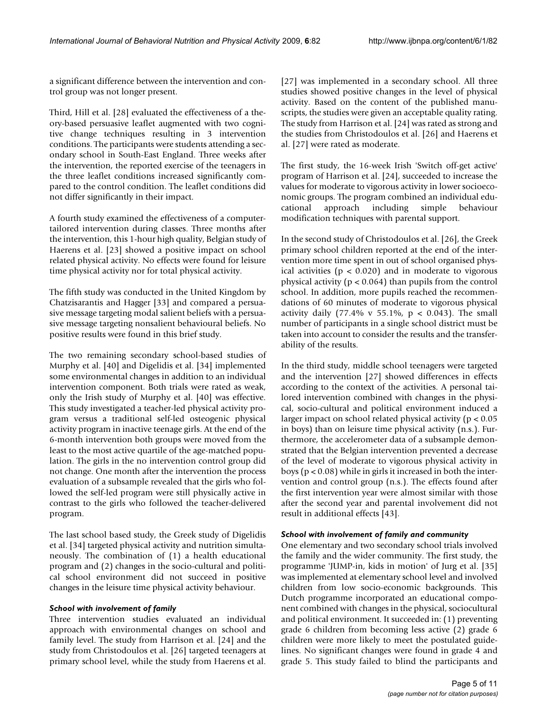a significant difference between the intervention and control group was not longer present.

Third, Hill et al. [28] evaluated the effectiveness of a theory-based persuasive leaflet augmented with two cognitive change techniques resulting in 3 intervention conditions. The participants were students attending a secondary school in South-East England. Three weeks after the intervention, the reported exercise of the teenagers in the three leaflet conditions increased significantly compared to the control condition. The leaflet conditions did not differ significantly in their impact.

A fourth study examined the effectiveness of a computertailored intervention during classes. Three months after the intervention, this 1-hour high quality, Belgian study of Haerens et al. [23] showed a positive impact on school related physical activity. No effects were found for leisure time physical activity nor for total physical activity.

The fifth study was conducted in the United Kingdom by Chatzisarantis and Hagger [33] and compared a persuasive message targeting modal salient beliefs with a persuasive message targeting nonsalient behavioural beliefs. No positive results were found in this brief study.

The two remaining secondary school-based studies of Murphy et al. [40] and Digelidis et al. [34] implemented some environmental changes in addition to an individual intervention component. Both trials were rated as weak, only the Irish study of Murphy et al. [40] was effective. This study investigated a teacher-led physical activity program versus a traditional self-led osteogenic physical activity program in inactive teenage girls. At the end of the 6-month intervention both groups were moved from the least to the most active quartile of the age-matched population. The girls in the no intervention control group did not change. One month after the intervention the process evaluation of a subsample revealed that the girls who followed the self-led program were still physically active in contrast to the girls who followed the teacher-delivered program.

The last school based study, the Greek study of Digelidis et al. [34] targeted physical activity and nutrition simultaneously. The combination of (1) a health educational program and (2) changes in the socio-cultural and political school environment did not succeed in positive changes in the leisure time physical activity behaviour.

# *School with involvement of family*

Three intervention studies evaluated an individual approach with environmental changes on school and family level. The study from Harrison et al. [24] and the study from Christodoulos et al. [26] targeted teenagers at primary school level, while the study from Haerens et al.

[27] was implemented in a secondary school. All three studies showed positive changes in the level of physical activity. Based on the content of the published manuscripts, the studies were given an acceptable quality rating. The study from Harrison et al. [24] was rated as strong and the studies from Christodoulos et al. [26] and Haerens et al. [27] were rated as moderate.

The first study, the 16-week Irish 'Switch off-get active' program of Harrison et al. [24], succeeded to increase the values for moderate to vigorous activity in lower socioeconomic groups. The program combined an individual educational approach including simple behaviour modification techniques with parental support.

In the second study of Christodoulos et al. [26], the Greek primary school children reported at the end of the intervention more time spent in out of school organised physical activities ( $p < 0.020$ ) and in moderate to vigorous physical activity ( $p < 0.064$ ) than pupils from the control school. In addition, more pupils reached the recommendations of 60 minutes of moderate to vigorous physical activity daily (77.4% v 55.1%,  $p < 0.043$ ). The small number of participants in a single school district must be taken into account to consider the results and the transferability of the results.

In the third study, middle school teenagers were targeted and the intervention [27] showed differences in effects according to the context of the activities. A personal tailored intervention combined with changes in the physical, socio-cultural and political environment induced a larger impact on school related physical activity (p < 0.05 in boys) than on leisure time physical activity (n.s.). Furthermore, the accelerometer data of a subsample demonstrated that the Belgian intervention prevented a decrease of the level of moderate to vigorous physical activity in boys ( $p < 0.08$ ) while in girls it increased in both the intervention and control group (n.s.). The effects found after the first intervention year were almost similar with those after the second year and parental involvement did not result in additional effects [43].

### *School with involvement of family and community*

One elementary and two secondary school trials involved the family and the wider community. The first study, the programme 'JUMP-in, kids in motion' of Jurg et al. [35] was implemented at elementary school level and involved children from low socio-economic backgrounds. This Dutch programme incorporated an educational component combined with changes in the physical, sociocultural and political environment. It succeeded in: (1) preventing grade 6 children from becoming less active (2) grade 6 children were more likely to meet the postulated guidelines. No significant changes were found in grade 4 and grade 5. This study failed to blind the participants and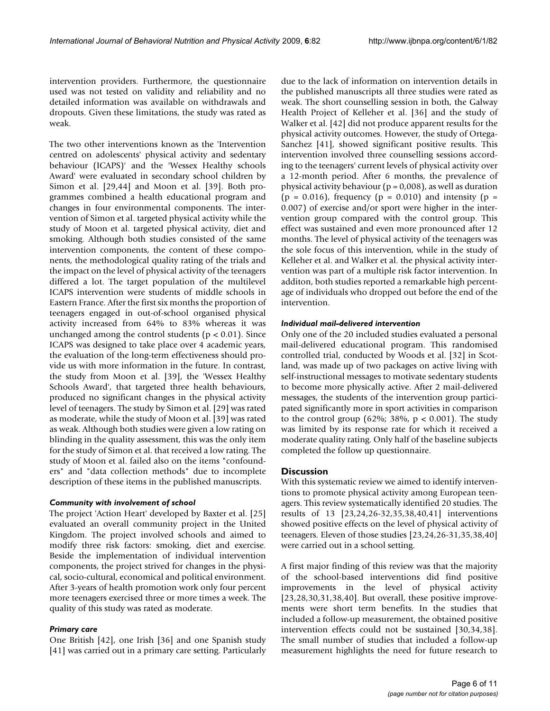intervention providers. Furthermore, the questionnaire used was not tested on validity and reliability and no detailed information was available on withdrawals and dropouts. Given these limitations, the study was rated as weak.

The two other interventions known as the 'Intervention centred on adolescents' physical activity and sedentary behaviour (ICAPS)' and the 'Wessex Healthy schools Award' were evaluated in secondary school children by Simon et al. [29,44] and Moon et al. [39]. Both programmes combined a health educational program and changes in four environmental components. The intervention of Simon et al. targeted physical activity while the study of Moon et al. targeted physical activity, diet and smoking. Although both studies consisted of the same intervention components, the content of these components, the methodological quality rating of the trials and the impact on the level of physical activity of the teenagers differed a lot. The target population of the multilevel ICAPS intervention were students of middle schools in Eastern France. After the first six months the proportion of teenagers engaged in out-of-school organised physical activity increased from 64% to 83% whereas it was unchanged among the control students ( $p < 0.01$ ). Since ICAPS was designed to take place over 4 academic years, the evaluation of the long-term effectiveness should provide us with more information in the future. In contrast, the study from Moon et al. [39], the 'Wessex Healthy Schools Award', that targeted three health behaviours, produced no significant changes in the physical activity level of teenagers. The study by Simon et al. [29] was rated as moderate, while the study of Moon et al. [39] was rated as weak. Although both studies were given a low rating on blinding in the quality assessment, this was the only item for the study of Simon et al. that received a low rating. The study of Moon et al. failed also on the items "confounders" and "data collection methods" due to incomplete description of these items in the published manuscripts.

#### *Community with involvement of school*

The project 'Action Heart' developed by Baxter et al. [25] evaluated an overall community project in the United Kingdom. The project involved schools and aimed to modify three risk factors: smoking, diet and exercise. Beside the implementation of individual intervention components, the project strived for changes in the physical, socio-cultural, economical and political environment. After 3-years of health promotion work only four percent more teenagers exercised three or more times a week. The quality of this study was rated as moderate.

#### *Primary care*

One British [42], one Irish [36] and one Spanish study [41] was carried out in a primary care setting. Particularly due to the lack of information on intervention details in the published manuscripts all three studies were rated as weak. The short counselling session in both, the Galway Health Project of Kelleher et al. [36] and the study of Walker et al. [42] did not produce apparent results for the physical activity outcomes. However, the study of Ortega-Sanchez [41], showed significant positive results. This intervention involved three counselling sessions according to the teenagers' current levels of physical activity over a 12-month period. After 6 months, the prevalence of physical activity behaviour ( $p = 0.008$ ), as well as duration  $(p = 0.016)$ , frequency  $(p = 0.010)$  and intensity  $(p = 0.016)$ 0.007) of exercise and/or sport were higher in the intervention group compared with the control group. This effect was sustained and even more pronounced after 12 months. The level of physical activity of the teenagers was the sole focus of this intervention, while in the study of Kelleher et al. and Walker et al. the physical activity intervention was part of a multiple risk factor intervention. In additon, both studies reported a remarkable high percentage of individuals who dropped out before the end of the intervention.

#### *Individual mail-delivered intervention*

Only one of the 20 included studies evaluated a personal mail-delivered educational program. This randomised controlled trial, conducted by Woods et al. [32] in Scotland, was made up of two packages on active living with self-instructional messages to motivate sedentary students to become more physically active. After 2 mail-delivered messages, the students of the intervention group participated significantly more in sport activities in comparison to the control group (62%; 38%,  $p < 0.001$ ). The study was limited by its response rate for which it received a moderate quality rating. Only half of the baseline subjects completed the follow up questionnaire.

### **Discussion**

With this systematic review we aimed to identify interventions to promote physical activity among European teenagers. This review systematically identified 20 studies. The results of 13 [23,24,26-32,35,38,40,41] interventions showed positive effects on the level of physical activity of teenagers. Eleven of those studies [23,24,26-31,35,38,40] were carried out in a school setting.

A first major finding of this review was that the majority of the school-based interventions did find positive improvements in the level of physical activity [23,28,30,31,38,40]. But overall, these positive improvements were short term benefits. In the studies that included a follow-up measurement, the obtained positive intervention effects could not be sustained [30,34,38]. The small number of studies that included a follow-up measurement highlights the need for future research to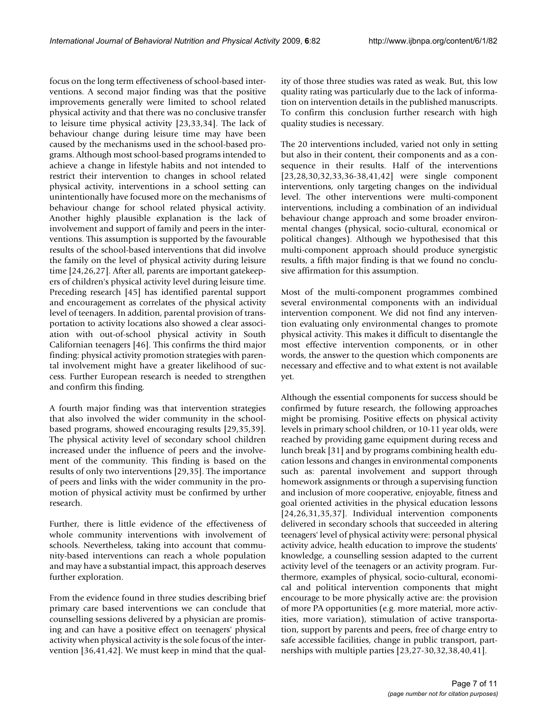focus on the long term effectiveness of school-based interventions. A second major finding was that the positive improvements generally were limited to school related physical activity and that there was no conclusive transfer to leisure time physical activity [23,33,34]. The lack of behaviour change during leisure time may have been caused by the mechanisms used in the school-based programs. Although most school-based programs intended to achieve a change in lifestyle habits and not intended to restrict their intervention to changes in school related physical activity, interventions in a school setting can unintentionally have focused more on the mechanisms of behaviour change for school related physical activity. Another highly plausible explanation is the lack of involvement and support of family and peers in the interventions. This assumption is supported by the favourable results of the school-based interventions that did involve the family on the level of physical activity during leisure time [24,26,27]. After all, parents are important gatekeepers of children's physical activity level during leisure time. Preceding research [45] has identified parental support and encouragement as correlates of the physical activity level of teenagers. In addition, parental provision of transportation to activity locations also showed a clear association with out-of-school physical activity in South Californian teenagers [46]. This confirms the third major finding: physical activity promotion strategies with parental involvement might have a greater likelihood of success. Further European research is needed to strengthen and confirm this finding.

A fourth major finding was that intervention strategies that also involved the wider community in the schoolbased programs, showed encouraging results [29,35,39]. The physical activity level of secondary school children increased under the influence of peers and the involvement of the community. This finding is based on the results of only two interventions [29,35]. The importance of peers and links with the wider community in the promotion of physical activity must be confirmed by urther research.

Further, there is little evidence of the effectiveness of whole community interventions with involvement of schools. Nevertheless, taking into account that community-based interventions can reach a whole population and may have a substantial impact, this approach deserves further exploration.

From the evidence found in three studies describing brief primary care based interventions we can conclude that counselling sessions delivered by a physician are promising and can have a positive effect on teenagers' physical activity when physical activity is the sole focus of the intervention [36,41,42]. We must keep in mind that the quality of those three studies was rated as weak. But, this low quality rating was particularly due to the lack of information on intervention details in the published manuscripts. To confirm this conclusion further research with high quality studies is necessary.

The 20 interventions included, varied not only in setting but also in their content, their components and as a consequence in their results. Half of the interventions [23,28,30,32,33,36-38,41,42] were single component interventions, only targeting changes on the individual level. The other interventions were multi-component interventions, including a combination of an individual behaviour change approach and some broader environmental changes (physical, socio-cultural, economical or political changes). Although we hypothesised that this multi-component approach should produce synergistic results, a fifth major finding is that we found no conclusive affirmation for this assumption.

Most of the multi-component programmes combined several environmental components with an individual intervention component. We did not find any intervention evaluating only environmental changes to promote physical activity. This makes it difficult to disentangle the most effective intervention components, or in other words, the answer to the question which components are necessary and effective and to what extent is not available yet.

Although the essential components for success should be confirmed by future research, the following approaches might be promising. Positive effects on physical activity levels in primary school children, or 10-11 year olds, were reached by providing game equipment during recess and lunch break [31] and by programs combining health education lessons and changes in environmental components such as: parental involvement and support through homework assignments or through a supervising function and inclusion of more cooperative, enjoyable, fitness and goal oriented activities in the physical education lessons [24,26,31,35,37]. Individual intervention components delivered in secondary schools that succeeded in altering teenagers' level of physical activity were: personal physical activity advice, health education to improve the students' knowledge, a counselling session adapted to the current activity level of the teenagers or an activity program. Furthermore, examples of physical, socio-cultural, economical and political intervention components that might encourage to be more physically active are: the provision of more PA opportunities (e.g. more material, more activities, more variation), stimulation of active transportation, support by parents and peers, free of charge entry to safe accessible facilities, change in public transport, partnerships with multiple parties [23,27-30,32,38,40,41].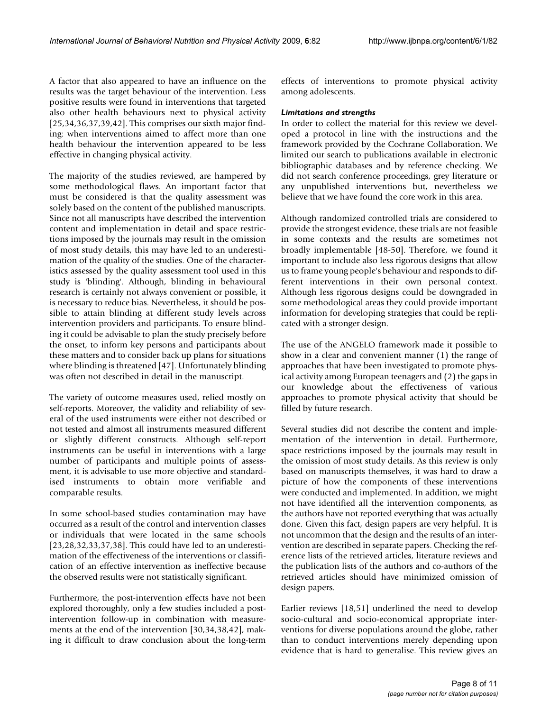A factor that also appeared to have an influence on the results was the target behaviour of the intervention. Less positive results were found in interventions that targeted also other health behaviours next to physical activity [25,34,36,37,39,42]. This comprises our sixth major finding: when interventions aimed to affect more than one health behaviour the intervention appeared to be less effective in changing physical activity.

The majority of the studies reviewed, are hampered by some methodological flaws. An important factor that must be considered is that the quality assessment was solely based on the content of the published manuscripts. Since not all manuscripts have described the intervention content and implementation in detail and space restrictions imposed by the journals may result in the omission of most study details, this may have led to an underestimation of the quality of the studies. One of the characteristics assessed by the quality assessment tool used in this study is 'blinding'. Although, blinding in behavioural research is certainly not always convenient or possible, it is necessary to reduce bias. Nevertheless, it should be possible to attain blinding at different study levels across intervention providers and participants. To ensure blinding it could be advisable to plan the study precisely before the onset, to inform key persons and participants about these matters and to consider back up plans for situations where blinding is threatened [47]. Unfortunately blinding was often not described in detail in the manuscript.

The variety of outcome measures used, relied mostly on self-reports. Moreover, the validity and reliability of several of the used instruments were either not described or not tested and almost all instruments measured different or slightly different constructs. Although self-report instruments can be useful in interventions with a large number of participants and multiple points of assessment, it is advisable to use more objective and standardised instruments to obtain more verifiable and comparable results.

In some school-based studies contamination may have occurred as a result of the control and intervention classes or individuals that were located in the same schools [23,28,32,33,37,38]. This could have led to an underestimation of the effectiveness of the interventions or classification of an effective intervention as ineffective because the observed results were not statistically significant.

Furthermore, the post-intervention effects have not been explored thoroughly, only a few studies included a postintervention follow-up in combination with measurements at the end of the intervention [30,34,38,42], making it difficult to draw conclusion about the long-term

effects of interventions to promote physical activity among adolescents.

### *Limitations and strengths*

In order to collect the material for this review we developed a protocol in line with the instructions and the framework provided by the Cochrane Collaboration. We limited our search to publications available in electronic bibliographic databases and by reference checking. We did not search conference proceedings, grey literature or any unpublished interventions but, nevertheless we believe that we have found the core work in this area.

Although randomized controlled trials are considered to provide the strongest evidence, these trials are not feasible in some contexts and the results are sometimes not broadly implementable [48-50]. Therefore, we found it important to include also less rigorous designs that allow us to frame young people's behaviour and responds to different interventions in their own personal context. Although less rigorous designs could be downgraded in some methodological areas they could provide important information for developing strategies that could be replicated with a stronger design.

The use of the ANGELO framework made it possible to show in a clear and convenient manner (1) the range of approaches that have been investigated to promote physical activity among European teenagers and (2) the gaps in our knowledge about the effectiveness of various approaches to promote physical activity that should be filled by future research.

Several studies did not describe the content and implementation of the intervention in detail. Furthermore, space restrictions imposed by the journals may result in the omission of most study details. As this review is only based on manuscripts themselves, it was hard to draw a picture of how the components of these interventions were conducted and implemented. In addition, we might not have identified all the intervention components, as the authors have not reported everything that was actually done. Given this fact, design papers are very helpful. It is not uncommon that the design and the results of an intervention are described in separate papers. Checking the reference lists of the retrieved articles, literature reviews and the publication lists of the authors and co-authors of the retrieved articles should have minimized omission of design papers.

Earlier reviews [18,51] underlined the need to develop socio-cultural and socio-economical appropriate interventions for diverse populations around the globe, rather than to conduct interventions merely depending upon evidence that is hard to generalise. This review gives an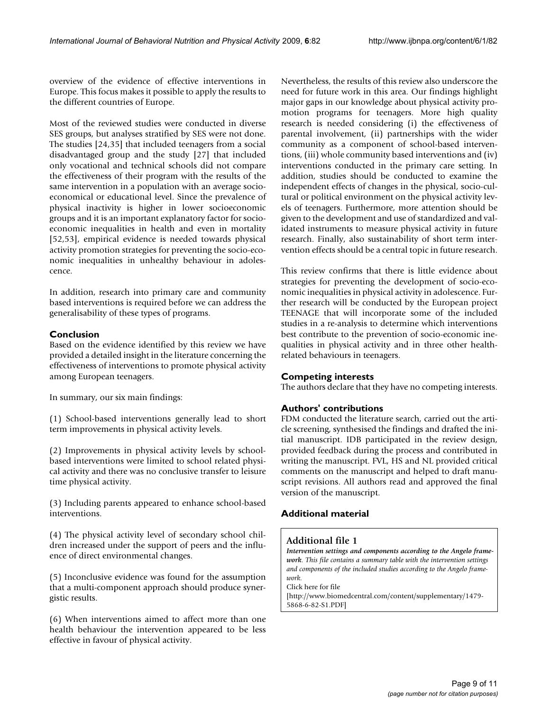overview of the evidence of effective interventions in Europe. This focus makes it possible to apply the results to the different countries of Europe.

Most of the reviewed studies were conducted in diverse SES groups, but analyses stratified by SES were not done. The studies [24,35] that included teenagers from a social disadvantaged group and the study [27] that included only vocational and technical schools did not compare the effectiveness of their program with the results of the same intervention in a population with an average socioeconomical or educational level. Since the prevalence of physical inactivity is higher in lower socioeconomic groups and it is an important explanatory factor for socioeconomic inequalities in health and even in mortality [52,53], empirical evidence is needed towards physical activity promotion strategies for preventing the socio-economic inequalities in unhealthy behaviour in adolescence.

In addition, research into primary care and community based interventions is required before we can address the generalisability of these types of programs.

# **Conclusion**

Based on the evidence identified by this review we have provided a detailed insight in the literature concerning the effectiveness of interventions to promote physical activity among European teenagers.

In summary, our six main findings:

(1) School-based interventions generally lead to short term improvements in physical activity levels.

(2) Improvements in physical activity levels by schoolbased interventions were limited to school related physical activity and there was no conclusive transfer to leisure time physical activity.

(3) Including parents appeared to enhance school-based interventions.

(4) The physical activity level of secondary school children increased under the support of peers and the influence of direct environmental changes.

(5) Inconclusive evidence was found for the assumption that a multi-component approach should produce synergistic results.

(6) When interventions aimed to affect more than one health behaviour the intervention appeared to be less effective in favour of physical activity.

Nevertheless, the results of this review also underscore the need for future work in this area. Our findings highlight major gaps in our knowledge about physical activity promotion programs for teenagers. More high quality research is needed considering (i) the effectiveness of parental involvement, (ii) partnerships with the wider community as a component of school-based interventions, (iii) whole community based interventions and (iv) interventions conducted in the primary care setting. In addition, studies should be conducted to examine the independent effects of changes in the physical, socio-cultural or political environment on the physical activity levels of teenagers. Furthermore, more attention should be given to the development and use of standardized and validated instruments to measure physical activity in future research. Finally, also sustainability of short term intervention effects should be a central topic in future research.

This review confirms that there is little evidence about strategies for preventing the development of socio-economic inequalities in physical activity in adolescence. Further research will be conducted by the European project TEENAGE that will incorporate some of the included studies in a re-analysis to determine which interventions best contribute to the prevention of socio-economic inequalities in physical activity and in three other healthrelated behaviours in teenagers.

# **Competing interests**

The authors declare that they have no competing interests.

# **Authors' contributions**

FDM conducted the literature search, carried out the article screening, synthesised the findings and drafted the initial manuscript. IDB participated in the review design, provided feedback during the process and contributed in writing the manuscript. FVL, HS and NL provided critical comments on the manuscript and helped to draft manuscript revisions. All authors read and approved the final version of the manuscript.

# **Additional material**

# **Additional file 1**

*Intervention settings and components according to the Angelo framework. This file contains a summary table with the intervention settings and components of the included studies according to the Angelo framework.*

Click here for file

[\[http://www.biomedcentral.com/content/supplementary/1479-](http://www.biomedcentral.com/content/supplementary/1479-5868-6-82-S1.PDF) 5868-6-82-S1.PDF]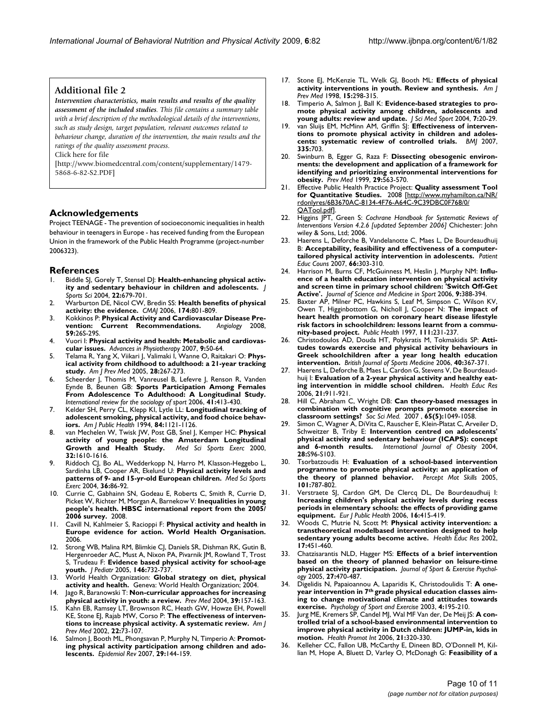# **Additional file 2**

*Intervention characteristics, main results and results of the quality assessment of the included studies. This file contains a summary table with a brief description of the methodological details of the interventions, such as study design, target population, relevant outcomes related to behaviour change, duration of the intervention, the main results and the ratings of the quality assessment process.*

Click here for file

[\[http://www.biomedcentral.com/content/supplementary/1479-](http://www.biomedcentral.com/content/supplementary/1479-5868-6-82-S2.PDF) 5868-6-82-S2.PDF]

# **Acknowledgements**

Project TEENAGE - The prevention of socioeconomic inequalities in health behaviour in teenagers in Europe - has received funding from the European Union in the framework of the Public Health Programme (project-number 2006323).

#### **References**

- 1. Biddle SJ, Gorely T, Stensel DJ: **[Health-enhancing physical activ](http://www.ncbi.nlm.nih.gov/entrez/query.fcgi?cmd=Retrieve&db=PubMed&dopt=Abstract&list_uids=15370482)[ity and sedentary behaviour in children and adolescents.](http://www.ncbi.nlm.nih.gov/entrez/query.fcgi?cmd=Retrieve&db=PubMed&dopt=Abstract&list_uids=15370482)** *J Sports Sci* 2004, **22:**679-701.
- 2. Warburton DE, Nicol CW, Bredin SS: **[Health benefits of physical](http://www.ncbi.nlm.nih.gov/entrez/query.fcgi?cmd=Retrieve&db=PubMed&dopt=Abstract&list_uids=16534088) [activity: the evidence.](http://www.ncbi.nlm.nih.gov/entrez/query.fcgi?cmd=Retrieve&db=PubMed&dopt=Abstract&list_uids=16534088)** *CMAJ* 2006, **174:**801-809.
- 3. Kokkinos P: **[Physical Activity and Cardiovascular Disease Pre](http://www.ncbi.nlm.nih.gov/entrez/query.fcgi?cmd=Retrieve&db=PubMed&dopt=Abstract&list_uids=18508850)[vention: Current Recommendations.](http://www.ncbi.nlm.nih.gov/entrez/query.fcgi?cmd=Retrieve&db=PubMed&dopt=Abstract&list_uids=18508850)** *Angiology* 2008, **59:**26S-29S.
- 4. Vuori I: **Physical activity and health: Metabolic and cardiovascular issues.** *Advances in Physiotherapy* 2007, **9:**50-64.
- 5. Telama R, Yang X, Viikari J, Valimaki I, Wanne O, Raitakari O: **[Phys](http://www.ncbi.nlm.nih.gov/entrez/query.fcgi?cmd=Retrieve&db=PubMed&dopt=Abstract&list_uids=15766614)[ical activity from childhood to adulthood: a 21-year tracking](http://www.ncbi.nlm.nih.gov/entrez/query.fcgi?cmd=Retrieve&db=PubMed&dopt=Abstract&list_uids=15766614) [study.](http://www.ncbi.nlm.nih.gov/entrez/query.fcgi?cmd=Retrieve&db=PubMed&dopt=Abstract&list_uids=15766614)** *Am J Prev Med* 2005, **28:**267-273.
- 6. Scheerder J, Thomis M, Vanreusel B, Lefevre J, Renson R, Vanden Eynde B, Beunen GB: **Sports Participation Among Females From Adolescence To Adulthood: A Longitudinal Study.** *International review for the sociology of sport* 2006, **41:**413-430.
- 7. Kelder SH, Perry CL, Klepp KI, Lytle LL: **[Longitudinal tracking of](http://www.ncbi.nlm.nih.gov/entrez/query.fcgi?cmd=Retrieve&db=PubMed&dopt=Abstract&list_uids=8017536) [adolescent smoking, physical activity, and food choice behav](http://www.ncbi.nlm.nih.gov/entrez/query.fcgi?cmd=Retrieve&db=PubMed&dopt=Abstract&list_uids=8017536)[iors.](http://www.ncbi.nlm.nih.gov/entrez/query.fcgi?cmd=Retrieve&db=PubMed&dopt=Abstract&list_uids=8017536)** *Am J Public Health* 1994, **84:**1121-1126.
- 8. van Mechelen W, Twisk JW, Post GB, Snel J, Kemper HC: **[Physical](http://www.ncbi.nlm.nih.gov/entrez/query.fcgi?cmd=Retrieve&db=PubMed&dopt=Abstract&list_uids=10994913) [activity of young people: the Amsterdam Longitudinal](http://www.ncbi.nlm.nih.gov/entrez/query.fcgi?cmd=Retrieve&db=PubMed&dopt=Abstract&list_uids=10994913) [Growth and Health Study.](http://www.ncbi.nlm.nih.gov/entrez/query.fcgi?cmd=Retrieve&db=PubMed&dopt=Abstract&list_uids=10994913)** *Med Sci Sports Exerc* 2000, **32:**1610-1616.
- 9. Riddoch CJ, Bo AL, Wedderkopp N, Harro M, Klasson-Heggebo L, Sardinha LB, Cooper AR, Ekelund U: **[Physical activity levels and](http://www.ncbi.nlm.nih.gov/entrez/query.fcgi?cmd=Retrieve&db=PubMed&dopt=Abstract&list_uids=14707773) [patterns of 9- and 15-yr-old European children.](http://www.ncbi.nlm.nih.gov/entrez/query.fcgi?cmd=Retrieve&db=PubMed&dopt=Abstract&list_uids=14707773)** *Med Sci Sports Exerc* 2004, **36:**86-92.
- 10. Currie C, Gabhainn SN, Godeau E, Roberts C, Smith R, Currie D, Picket W, Richter M, Morgan A, Barnekow V: **Inequalities in young people's health. HBSC international report from the 2005/ 2006 survey.** 2008.
- 11. Cavill N, Kahlmeier S, Racioppi F: **Physical activity and health in Europe evidence for action. World Health Organisation.** 2006.
- Strong WB, Malina RM, Blimkie CJ, Daniels SR, Dishman RK, Gutin B, Hergenroeder AC, Must A, Nixon PA, Pivarnik JM, Rowland T, Trost S, Trudeau F: **[Evidence based physical activity for school-age](http://www.ncbi.nlm.nih.gov/entrez/query.fcgi?cmd=Retrieve&db=PubMed&dopt=Abstract&list_uids=15973308) [youth.](http://www.ncbi.nlm.nih.gov/entrez/query.fcgi?cmd=Retrieve&db=PubMed&dopt=Abstract&list_uids=15973308)** *J Pediatr* 2005, **146:**732-737.
- 13. World Health Organization: **Global strategy on diet, physical activity and health.** Geneva: World Health Organization; 2004.
- 14. Jago R, Baranowski T: **[Non-curricular approaches for increasing](http://www.ncbi.nlm.nih.gov/entrez/query.fcgi?cmd=Retrieve&db=PubMed&dopt=Abstract&list_uids=15207997) [physical activity in youth: a review.](http://www.ncbi.nlm.nih.gov/entrez/query.fcgi?cmd=Retrieve&db=PubMed&dopt=Abstract&list_uids=15207997)** *Prev Med* 2004, **39:**157-163.
- 15. Kahn EB, Ramsey LT, Brownson RC, Heath GW, Howze EH, Powell KE, Stone EJ, Rajab MW, Corso P: **[The effectiveness of interven](http://www.ncbi.nlm.nih.gov/entrez/query.fcgi?cmd=Retrieve&db=PubMed&dopt=Abstract&list_uids=11985936)[tions to increase physical activity. A systematic review.](http://www.ncbi.nlm.nih.gov/entrez/query.fcgi?cmd=Retrieve&db=PubMed&dopt=Abstract&list_uids=11985936)** *Am J Prev Med* 2002, **22:**73-107.
- Salmon J, Booth ML, Phongsavan P, Murphy N, Timperio A: [Promot](http://www.ncbi.nlm.nih.gov/entrez/query.fcgi?cmd=Retrieve&db=PubMed&dopt=Abstract&list_uids=17556765)**[ing physical activity participation among children and ado](http://www.ncbi.nlm.nih.gov/entrez/query.fcgi?cmd=Retrieve&db=PubMed&dopt=Abstract&list_uids=17556765)[lescents.](http://www.ncbi.nlm.nih.gov/entrez/query.fcgi?cmd=Retrieve&db=PubMed&dopt=Abstract&list_uids=17556765)** *Epidemiol Rev* 2007, **29:**144-159.
- 17. Stone EJ, McKenzie TL, Welk GJ, Booth ML: **[Effects of physical](http://www.ncbi.nlm.nih.gov/entrez/query.fcgi?cmd=Retrieve&db=PubMed&dopt=Abstract&list_uids=9838974) [activity interventions in youth. Review and synthesis.](http://www.ncbi.nlm.nih.gov/entrez/query.fcgi?cmd=Retrieve&db=PubMed&dopt=Abstract&list_uids=9838974)** *Am J Prev Med* 1998, **15:**298-315.
- 18. Timperio A, Salmon J, Ball K: [Evidence-based strategies to pro](http://www.ncbi.nlm.nih.gov/entrez/query.fcgi?cmd=Retrieve&db=PubMed&dopt=Abstract&list_uids=15214598)**[mote physical activity among children, adolescents and](http://www.ncbi.nlm.nih.gov/entrez/query.fcgi?cmd=Retrieve&db=PubMed&dopt=Abstract&list_uids=15214598) [young adults: review and update.](http://www.ncbi.nlm.nih.gov/entrez/query.fcgi?cmd=Retrieve&db=PubMed&dopt=Abstract&list_uids=15214598)** *J Sci Med Sport* 2004, **7:**20-29.
- 19. van Sluijs EM, McMinn AM, Griffin SJ: [Effectiveness of interven](http://www.ncbi.nlm.nih.gov/entrez/query.fcgi?cmd=Retrieve&db=PubMed&dopt=Abstract&list_uids=17884863)**[tions to promote physical activity in children and adoles](http://www.ncbi.nlm.nih.gov/entrez/query.fcgi?cmd=Retrieve&db=PubMed&dopt=Abstract&list_uids=17884863)[cents: systematic review of controlled trials.](http://www.ncbi.nlm.nih.gov/entrez/query.fcgi?cmd=Retrieve&db=PubMed&dopt=Abstract&list_uids=17884863)** *BMJ* 2007, **335:**703.
- 20. Swinburn B, Egger G, Raza F: **[Dissecting obesogenic environ](http://www.ncbi.nlm.nih.gov/entrez/query.fcgi?cmd=Retrieve&db=PubMed&dopt=Abstract&list_uids=10600438)[ments: the development and application of a framework for](http://www.ncbi.nlm.nih.gov/entrez/query.fcgi?cmd=Retrieve&db=PubMed&dopt=Abstract&list_uids=10600438) identifying and prioritizing environmental interventions for [obesity.](http://www.ncbi.nlm.nih.gov/entrez/query.fcgi?cmd=Retrieve&db=PubMed&dopt=Abstract&list_uids=10600438)** *Prev Med* 1999, **29:**563-570.
- 21. Effective Public Health Practice Project: **Quality assessment Tool for Quantitative Studies.** 2008 [\[http://www.myhamilton.ca/NR/](http://www.myhamilton.ca/NR/rdonlyres/6B3670AC-8134-4F76-A64C-9C39DBC0F768/0/QATool.pdf) [rdonlyres/6B3670AC-8134-4F76-A64C-9C39DBC0F768/0/](http://www.myhamilton.ca/NR/rdonlyres/6B3670AC-8134-4F76-A64C-9C39DBC0F768/0/QATool.pdf) [QATool.pdf](http://www.myhamilton.ca/NR/rdonlyres/6B3670AC-8134-4F76-A64C-9C39DBC0F768/0/QATool.pdf)].
- 22. Higgins JPT, Green S: *Cochrane Handbook for Systematic Reviews of Interventions Version 4.2.6 [updated September 2006]* Chichester: John wiley & Sons, Ltd; 2006.
- 23. Haerens L, Deforche B, Vandelanotte C, Maes L, De Bourdeaudhuij B: **[Acceptability, feasibility and effectiveness of a computer](http://www.ncbi.nlm.nih.gov/entrez/query.fcgi?cmd=Retrieve&db=PubMed&dopt=Abstract&list_uids=17298873)[tailored physical activity intervention in adolescents.](http://www.ncbi.nlm.nih.gov/entrez/query.fcgi?cmd=Retrieve&db=PubMed&dopt=Abstract&list_uids=17298873)** *Patient Educ Couns* 2007, **66:**303-310.
- 24. Harrison M, Burns CF, McGuinness M, Heslin J, Murphy NM: **[Influ](http://www.ncbi.nlm.nih.gov/entrez/query.fcgi?cmd=Retrieve&db=PubMed&dopt=Abstract&list_uids=16872900)[ence of a health education intervention on physical activity](http://www.ncbi.nlm.nih.gov/entrez/query.fcgi?cmd=Retrieve&db=PubMed&dopt=Abstract&list_uids=16872900) and screen time in primary school children: 'Switch Off-Get [Active'.](http://www.ncbi.nlm.nih.gov/entrez/query.fcgi?cmd=Retrieve&db=PubMed&dopt=Abstract&list_uids=16872900)** *Journal of Science and Medicine in Sport* 2006, **9:**388-394.
- 25. Baxter AP, Milner PC, Hawkins S, Leaf M, Simpson C, Wilson KV, Owen T, Higginbottom G, Nicholl J, Cooper N: **[The impact of](http://www.ncbi.nlm.nih.gov/entrez/query.fcgi?cmd=Retrieve&db=PubMed&dopt=Abstract&list_uids=9242036) [heart health promotion on coronary heart disease lifestyle](http://www.ncbi.nlm.nih.gov/entrez/query.fcgi?cmd=Retrieve&db=PubMed&dopt=Abstract&list_uids=9242036) risk factors in schoolchildren: lessons learnt from a commu[nity-based project.](http://www.ncbi.nlm.nih.gov/entrez/query.fcgi?cmd=Retrieve&db=PubMed&dopt=Abstract&list_uids=9242036)** *Public Health* 1997, **111:**231-237.
- 26. Christodoulos AD, Douda HT, Polykratis M, Tokmakidis SP: **[Atti](http://www.ncbi.nlm.nih.gov/entrez/query.fcgi?cmd=Retrieve&db=PubMed&dopt=Abstract&list_uids=16556796)[tudes towards exercise and physical activity behaviours in](http://www.ncbi.nlm.nih.gov/entrez/query.fcgi?cmd=Retrieve&db=PubMed&dopt=Abstract&list_uids=16556796) Greek schoolchildren after a year long health education [intervention.](http://www.ncbi.nlm.nih.gov/entrez/query.fcgi?cmd=Retrieve&db=PubMed&dopt=Abstract&list_uids=16556796)** *British Journal of Sports Medicine* 2006, **40:**367-371.
- 27. Haerens L, Deforche B, Maes L, Cardon G, Stevens V, De Bourdeaudhuij I: **[Evaluation of a 2-year physical activity and healthy eat](http://www.ncbi.nlm.nih.gov/entrez/query.fcgi?cmd=Retrieve&db=PubMed&dopt=Abstract&list_uids=17032704)[ing intervention in middle school children.](http://www.ncbi.nlm.nih.gov/entrez/query.fcgi?cmd=Retrieve&db=PubMed&dopt=Abstract&list_uids=17032704)** *Health Educ Res* 2006, **21:**911-921.
- 28. Hill C, Abraham C, Wright DB: **Can theory-based messages in combination with cognitive prompts promote exercise in classroom settings?** *Soc Sci Med.* 2007 , **65(5):**1049-1058.
- Simon C, Wagner A, DiVita C, Rauscher E, Klein-Platat C, Arveiler D, Schweitzer B, Triby E: **[Intervention centred on adolescents'](http://www.ncbi.nlm.nih.gov/entrez/query.fcgi?cmd=Retrieve&db=PubMed&dopt=Abstract&list_uids=15543228) [physical activity and sedentary behaviour \(ICAPS\): concept](http://www.ncbi.nlm.nih.gov/entrez/query.fcgi?cmd=Retrieve&db=PubMed&dopt=Abstract&list_uids=15543228) [and 6-month results.](http://www.ncbi.nlm.nih.gov/entrez/query.fcgi?cmd=Retrieve&db=PubMed&dopt=Abstract&list_uids=15543228)** *International Journal of Obesity* 2004, **28:**S96-S103.
- 30. Tsorbatzoudis H: **[Evaluation of a school-based intervention](http://www.ncbi.nlm.nih.gov/entrez/query.fcgi?cmd=Retrieve&db=PubMed&dopt=Abstract&list_uids=16491680) [programme to promote physical activity: an application of](http://www.ncbi.nlm.nih.gov/entrez/query.fcgi?cmd=Retrieve&db=PubMed&dopt=Abstract&list_uids=16491680) [the theory of planned behavior.](http://www.ncbi.nlm.nih.gov/entrez/query.fcgi?cmd=Retrieve&db=PubMed&dopt=Abstract&list_uids=16491680)** *Percept Mot Skills* 2005, **101:**787-802.
- 31. Verstraete SJ, Cardon GM, De Clercq DL, De Bourdeaudhuij I: **[Increasing children's physical activity levels during recess](http://www.ncbi.nlm.nih.gov/entrez/query.fcgi?cmd=Retrieve&db=PubMed&dopt=Abstract&list_uids=16431866) periods in elementary schools: the effects of providing game [equipment.](http://www.ncbi.nlm.nih.gov/entrez/query.fcgi?cmd=Retrieve&db=PubMed&dopt=Abstract&list_uids=16431866)** *Eur J Public Health* 2006, **16:**415-419.
- 32. Woods C, Mutrie N, Scott M: **[Physical activity intervention: a](http://www.ncbi.nlm.nih.gov/entrez/query.fcgi?cmd=Retrieve&db=PubMed&dopt=Abstract&list_uids=12197590) [transtheoretical modelbased intervention designed to help](http://www.ncbi.nlm.nih.gov/entrez/query.fcgi?cmd=Retrieve&db=PubMed&dopt=Abstract&list_uids=12197590) [sedentary young adults become active.](http://www.ncbi.nlm.nih.gov/entrez/query.fcgi?cmd=Retrieve&db=PubMed&dopt=Abstract&list_uids=12197590)** *Health Educ Res* 2002, **17:**451-460.
- 33. Chatzisarantis NLD, Hagger MS: **Effects of a brief intervention based on the theory of planned behavior on leisure-time physical activity participation.** *Journal of Sport & Exercise Psychology* 2005, **27:**470-487.
- 34. Digelidis N, Papaioannou A, Laparidis K, Christodoulidis T: **A oneyear intervention in 7th grade physical education classes aiming to change motivational climate and attitudes towards exercise.** *Psychology of Sport and Exercise* 2003, **4:**195-210.
- 35. Jurg ME, Kremers SP, Candel MJ, Wal MF Van der, De Meij JS: **[A con](http://www.ncbi.nlm.nih.gov/entrez/query.fcgi?cmd=Retrieve&db=PubMed&dopt=Abstract&list_uids=16963784)[trolled trial of a school-based environmental intervention to](http://www.ncbi.nlm.nih.gov/entrez/query.fcgi?cmd=Retrieve&db=PubMed&dopt=Abstract&list_uids=16963784) improve physical activity in Dutch children: JUMP-in, kids in [motion.](http://www.ncbi.nlm.nih.gov/entrez/query.fcgi?cmd=Retrieve&db=PubMed&dopt=Abstract&list_uids=16963784)** *Health Promot Int* 2006, **21:**320-330.
- 36. Kelleher CC, Fallon UB, McCarthy E, Dineen BD, O'Donnell M, Killian M, Hope A, Bluett D, Varley O, McDonagh G: **Feasibility of a**